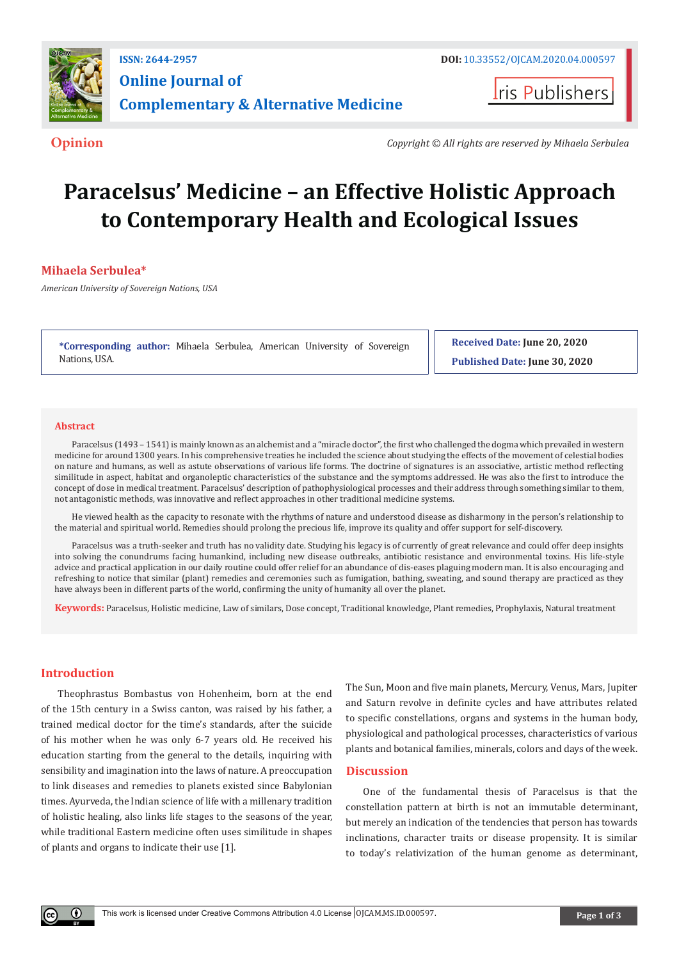

**Iris Publishers** 

**Opinion** *Copyright © All rights are reserved by Mihaela Serbulea*

# **Paracelsus' Medicine – an Effective Holistic Approach to Contemporary Health and Ecological Issues**

# **Mihaela Serbulea\***

*American University of Sovereign Nations, USA*

**\*Corresponding author:** Mihaela Serbulea, American University of Sovereign Nations, USA.

**Received Date: June 20, 2020 Published Date: June 30, 2020**

#### **Abstract**

Paracelsus (1493 – 1541) is mainly known as an alchemist and a "miracle doctor", the first who challenged the dogma which prevailed in western medicine for around 1300 years. In his comprehensive treaties he included the science about studying the effects of the movement of celestial bodies on nature and humans, as well as astute observations of various life forms. The doctrine of signatures is an associative, artistic method reflecting similitude in aspect, habitat and organoleptic characteristics of the substance and the symptoms addressed. He was also the first to introduce the concept of dose in medical treatment. Paracelsus' description of pathophysiological processes and their address through something similar to them, not antagonistic methods, was innovative and reflect approaches in other traditional medicine systems.

He viewed health as the capacity to resonate with the rhythms of nature and understood disease as disharmony in the person's relationship to the material and spiritual world. Remedies should prolong the precious life, improve its quality and offer support for self-discovery.

Paracelsus was a truth-seeker and truth has no validity date. Studying his legacy is of currently of great relevance and could offer deep insights into solving the conundrums facing humankind, including new disease outbreaks, antibiotic resistance and environmental toxins. His life-style advice and practical application in our daily routine could offer relief for an abundance of dis-eases plaguing modern man. It is also encouraging and refreshing to notice that similar (plant) remedies and ceremonies such as fumigation, bathing, sweating, and sound therapy are practiced as they have always been in different parts of the world, confirming the unity of humanity all over the planet.

**Keywords:** Paracelsus, Holistic medicine, Law of similars, Dose concept, Traditional knowledge, Plant remedies, Prophylaxis, Natural treatment

## **Introduction**

Œ

Theophrastus Bombastus von Hohenheim, born at the end of the 15th century in a Swiss canton, was raised by his father, a trained medical doctor for the time's standards, after the suicide of his mother when he was only 6-7 years old. He received his education starting from the general to the details, inquiring with sensibility and imagination into the laws of nature. A preoccupation to link diseases and remedies to planets existed since Babylonian times. Ayurveda, the Indian science of life with a millenary tradition of holistic healing, also links life stages to the seasons of the year, while traditional Eastern medicine often uses similitude in shapes of plants and organs to indicate their use [1].

The Sun, Moon and five main planets, Mercury, Venus, Mars, Jupiter and Saturn revolve in definite cycles and have attributes related to specific constellations, organs and systems in the human body, physiological and pathological processes, characteristics of various plants and botanical families, minerals, colors and days of the week.

## **Discussion**

One of the fundamental thesis of Paracelsus is that the constellation pattern at birth is not an immutable determinant, but merely an indication of the tendencies that person has towards inclinations, character traits or disease propensity. It is similar to today's relativization of the human genome as determinant,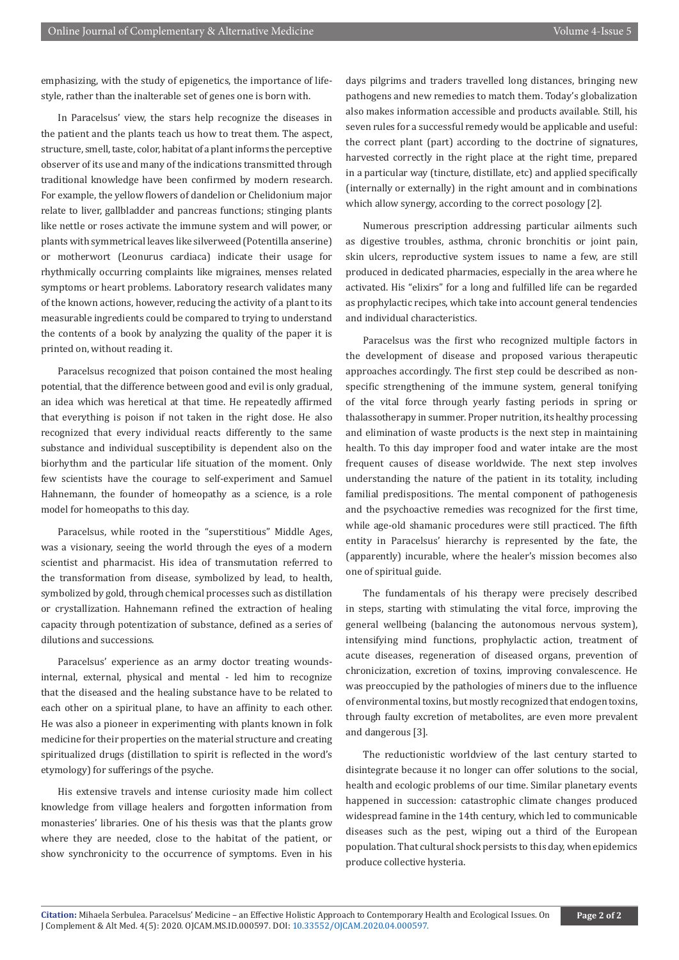emphasizing, with the study of epigenetics, the importance of lifestyle, rather than the inalterable set of genes one is born with.

In Paracelsus' view, the stars help recognize the diseases in the patient and the plants teach us how to treat them. The aspect, structure, smell, taste, color, habitat of a plant informs the perceptive observer of its use and many of the indications transmitted through traditional knowledge have been confirmed by modern research. For example, the yellow flowers of dandelion or Chelidonium major relate to liver, gallbladder and pancreas functions; stinging plants like nettle or roses activate the immune system and will power, or plants with symmetrical leaves like silverweed (Potentilla anserine) or motherwort (Leonurus cardiaca) indicate their usage for rhythmically occurring complaints like migraines, menses related symptoms or heart problems. Laboratory research validates many of the known actions, however, reducing the activity of a plant to its measurable ingredients could be compared to trying to understand the contents of a book by analyzing the quality of the paper it is printed on, without reading it.

Paracelsus recognized that poison contained the most healing potential, that the difference between good and evil is only gradual, an idea which was heretical at that time. He repeatedly affirmed that everything is poison if not taken in the right dose. He also recognized that every individual reacts differently to the same substance and individual susceptibility is dependent also on the biorhythm and the particular life situation of the moment. Only few scientists have the courage to self-experiment and Samuel Hahnemann, the founder of homeopathy as a science, is a role model for homeopaths to this day.

Paracelsus, while rooted in the "superstitious" Middle Ages, was a visionary, seeing the world through the eyes of a modern scientist and pharmacist. His idea of transmutation referred to the transformation from disease, symbolized by lead, to health, symbolized by gold, through chemical processes such as distillation or crystallization. Hahnemann refined the extraction of healing capacity through potentization of substance, defined as a series of dilutions and successions.

Paracelsus' experience as an army doctor treating woundsinternal, external, physical and mental - led him to recognize that the diseased and the healing substance have to be related to each other on a spiritual plane, to have an affinity to each other. He was also a pioneer in experimenting with plants known in folk medicine for their properties on the material structure and creating spiritualized drugs (distillation to spirit is reflected in the word's etymology) for sufferings of the psyche.

His extensive travels and intense curiosity made him collect knowledge from village healers and forgotten information from monasteries' libraries. One of his thesis was that the plants grow where they are needed, close to the habitat of the patient, or show synchronicity to the occurrence of symptoms. Even in his

days pilgrims and traders travelled long distances, bringing new pathogens and new remedies to match them. Today's globalization also makes information accessible and products available. Still, his seven rules for a successful remedy would be applicable and useful: the correct plant (part) according to the doctrine of signatures, harvested correctly in the right place at the right time, prepared in a particular way (tincture, distillate, etc) and applied specifically (internally or externally) in the right amount and in combinations which allow synergy, according to the correct posology [2].

Numerous prescription addressing particular ailments such as digestive troubles, asthma, chronic bronchitis or joint pain, skin ulcers, reproductive system issues to name a few, are still produced in dedicated pharmacies, especially in the area where he activated. His "elixirs" for a long and fulfilled life can be regarded as prophylactic recipes, which take into account general tendencies and individual characteristics.

Paracelsus was the first who recognized multiple factors in the development of disease and proposed various therapeutic approaches accordingly. The first step could be described as nonspecific strengthening of the immune system, general tonifying of the vital force through yearly fasting periods in spring or thalassotherapy in summer. Proper nutrition, its healthy processing and elimination of waste products is the next step in maintaining health. To this day improper food and water intake are the most frequent causes of disease worldwide. The next step involves understanding the nature of the patient in its totality, including familial predispositions. The mental component of pathogenesis and the psychoactive remedies was recognized for the first time, while age-old shamanic procedures were still practiced. The fifth entity in Paracelsus' hierarchy is represented by the fate, the (apparently) incurable, where the healer's mission becomes also one of spiritual guide.

The fundamentals of his therapy were precisely described in steps, starting with stimulating the vital force, improving the general wellbeing (balancing the autonomous nervous system), intensifying mind functions, prophylactic action, treatment of acute diseases, regeneration of diseased organs, prevention of chronicization, excretion of toxins, improving convalescence. He was preoccupied by the pathologies of miners due to the influence of environmental toxins, but mostly recognized that endogen toxins, through faulty excretion of metabolites, are even more prevalent and dangerous [3].

The reductionistic worldview of the last century started to disintegrate because it no longer can offer solutions to the social, health and ecologic problems of our time. Similar planetary events happened in succession: catastrophic climate changes produced widespread famine in the 14th century, which led to communicable diseases such as the pest, wiping out a third of the European population. That cultural shock persists to this day, when epidemics produce collective hysteria.